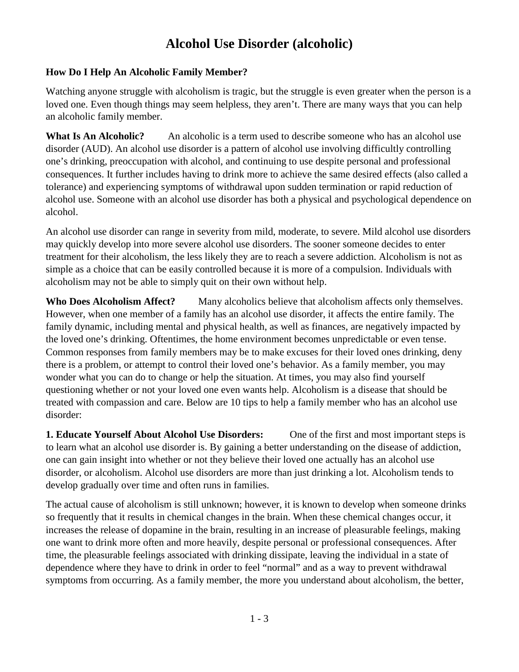## **Alcohol Use Disorder (alcoholic)**

## **How Do I Help An Alcoholic Family Member?**

Watching anyone struggle with alcoholism is tragic, but the struggle is even greater when the person is a loved one. Even though things may seem helpless, they aren't. There are many ways that you can help an alcoholic family member.

**What Is An Alcoholic?** An alcoholic is a term used to describe someone who has an alcohol use disorder (AUD). An alcohol use disorder is a pattern of alcohol use involving difficultly controlling one's drinking, preoccupation with alcohol, and continuing to use despite personal and professional consequences. It further includes having to drink more to achieve the same desired effects (also called a tolerance) and experiencing symptoms of withdrawal upon sudden termination or rapid reduction of alcohol use. Someone with an alcohol use disorder has both a physical and psychological dependence on alcohol.

An alcohol use disorder can range in severity from mild, moderate, to severe. Mild alcohol use disorders may quickly develop into more severe alcohol use disorders. The sooner someone decides to enter treatment for their alcoholism, the less likely they are to reach a severe addiction. Alcoholism is not as simple as a choice that can be easily controlled because it is more of a compulsion. Individuals with alcoholism may not be able to simply quit on their own without help.

**Who Does Alcoholism Affect?** Many alcoholics believe that alcoholism affects only themselves. However, when one member of a family has an alcohol use disorder, it affects the entire family. The family dynamic, including mental and physical health, as well as finances, are negatively impacted by the loved one's drinking. Oftentimes, the home environment becomes unpredictable or even tense. Common responses from family members may be to make excuses for their loved ones drinking, deny there is a problem, or attempt to control their loved one's behavior. As a family member, you may wonder what you can do to change or help the situation. At times, you may also find yourself questioning whether or not your loved one even wants help. Alcoholism is a disease that should be treated with compassion and care. Below are 10 tips to help a family member who has an alcohol use disorder:

**1. Educate Yourself About Alcohol Use Disorders:** One of the first and most important steps is to learn what an alcohol use disorder is. By gaining a better understanding on the disease of addiction, one can gain insight into whether or not they believe their loved one actually has an alcohol use disorder, or alcoholism. Alcohol use disorders are more than just drinking a lot. Alcoholism tends to develop gradually over time and often runs in families.

The actual cause of alcoholism is still unknown; however, it is known to develop when someone drinks so frequently that it results in chemical changes in the brain. When these chemical changes occur, it increases the release of dopamine in the brain, resulting in an increase of pleasurable feelings, making one want to drink more often and more heavily, despite personal or professional consequences. After time, the pleasurable feelings associated with drinking dissipate, leaving the individual in a state of dependence where they have to drink in order to feel "normal" and as a way to prevent withdrawal symptoms from occurring. As a family member, the more you understand about alcoholism, the better,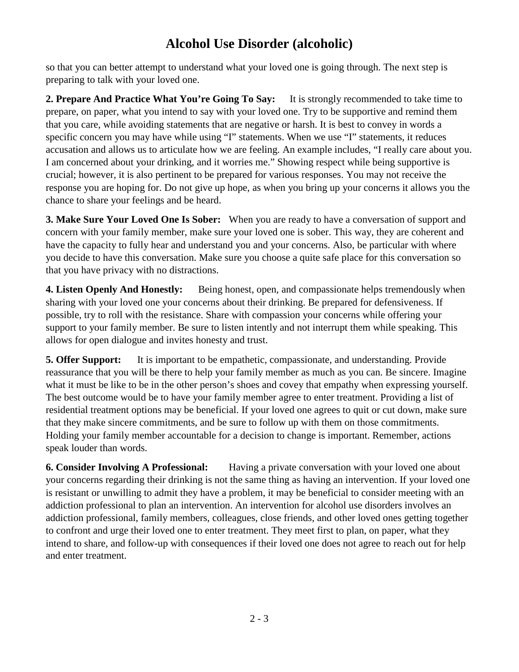## **Alcohol Use Disorder (alcoholic)**

so that you can better attempt to understand what your loved one is going through. The next step is preparing to talk with your loved one.

**2. Prepare And Practice What You're Going To Say:** It is strongly recommended to take time to prepare, on paper, what you intend to say with your loved one. Try to be supportive and remind them that you care, while avoiding statements that are negative or harsh. It is best to convey in words a specific concern you may have while using "I" statements. When we use "I" statements, it reduces accusation and allows us to articulate how we are feeling. An example includes, "I really care about you. I am concerned about your drinking, and it worries me." Showing respect while being supportive is crucial; however, it is also pertinent to be prepared for various responses. You may not receive the response you are hoping for. Do not give up hope, as when you bring up your concerns it allows you the chance to share your feelings and be heard.

**3. Make Sure Your Loved One Is Sober:** When you are ready to have a conversation of support and concern with your family member, make sure your loved one is sober. This way, they are coherent and have the capacity to fully hear and understand you and your concerns. Also, be particular with where you decide to have this conversation. Make sure you choose a quite safe place for this conversation so that you have privacy with no distractions.

**4. Listen Openly And Honestly:** Being honest, open, and compassionate helps tremendously when sharing with your loved one your concerns about their drinking. Be prepared for defensiveness. If possible, try to roll with the resistance. Share with compassion your concerns while offering your support to your family member. Be sure to listen intently and not interrupt them while speaking. This allows for open dialogue and invites honesty and trust.

**5. Offer Support:** It is important to be empathetic, compassionate, and understanding. Provide reassurance that you will be there to help your family member as much as you can. Be sincere. Imagine what it must be like to be in the other person's shoes and covey that empathy when expressing yourself. The best outcome would be to have your family member agree to enter treatment. Providing a list of residential treatment options may be beneficial. If your loved one agrees to quit or cut down, make sure that they make sincere commitments, and be sure to follow up with them on those commitments. Holding your family member accountable for a decision to change is important. Remember, actions speak louder than words.

**6. Consider Involving A Professional:** Having a private conversation with your loved one about your concerns regarding their drinking is not the same thing as having an intervention. If your loved one is resistant or unwilling to admit they have a problem, it may be beneficial to consider meeting with an addiction professional to plan an intervention. An intervention for alcohol use disorders involves an addiction professional, family members, colleagues, close friends, and other loved ones getting together to confront and urge their loved one to enter treatment. They meet first to plan, on paper, what they intend to share, and follow-up with consequences if their loved one does not agree to reach out for help and enter treatment.